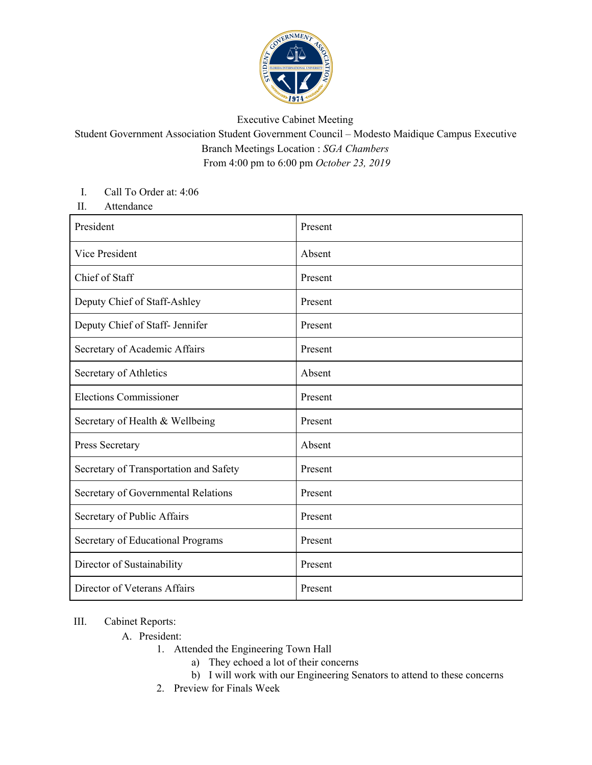

## Executive Cabinet Meeting

Student Government Association Student Government Council – Modesto Maidique Campus Executive Branch Meetings Location : *SGA Chambers* From 4:00 pm to 6:00 pm *October 23, 2019*

## I. Call To Order at: 4:06

II. Attendance

| President                              | Present |
|----------------------------------------|---------|
| Vice President                         | Absent  |
| Chief of Staff                         | Present |
| Deputy Chief of Staff-Ashley           | Present |
| Deputy Chief of Staff- Jennifer        | Present |
| Secretary of Academic Affairs          | Present |
| Secretary of Athletics                 | Absent  |
| <b>Elections Commissioner</b>          | Present |
| Secretary of Health & Wellbeing        | Present |
| Press Secretary                        | Absent  |
| Secretary of Transportation and Safety | Present |
| Secretary of Governmental Relations    | Present |
| Secretary of Public Affairs            | Present |
| Secretary of Educational Programs      | Present |
| Director of Sustainability             | Present |
| Director of Veterans Affairs           | Present |

## III. Cabinet Reports:

- A. President:
	- 1. Attended the Engineering Town Hall
		- a) They echoed a lot of their concerns
		- b) I will work with our Engineering Senators to attend to these concerns
		- 2. Preview for Finals Week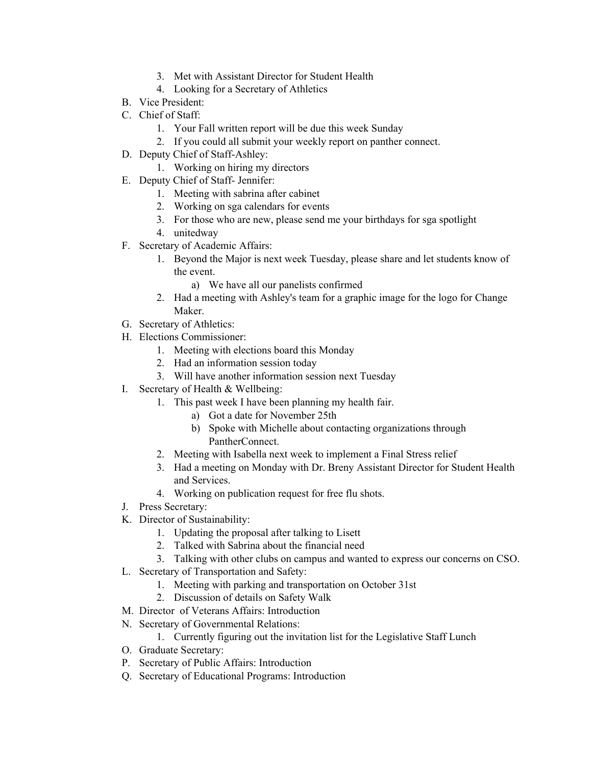- 3. Met with Assistant Director for Student Health
- 4. Looking for a Secretary of Athletics
- B. Vice President:
- C. Chief of Staff:
	- 1. Your Fall written report will be due this week Sunday
	- 2. If you could all submit your weekly report on panther connect.
- D. Deputy Chief of Staff-Ashley:
	- 1. Working on hiring my directors
- E. Deputy Chief of Staff- Jennifer:
	- 1. Meeting with sabrina after cabinet
	- 2. Working on sga calendars for events
	- 3. For those who are new, please send me your birthdays for sga spotlight
	- 4. unitedway
- F. Secretary of Academic Affairs:
	- 1. Beyond the Major is next week Tuesday, please share and let students know of the event.
		- a) We have all our panelists confirmed
	- 2. Had a meeting with Ashley's team for a graphic image for the logo for Change Maker.
- G. Secretary of Athletics:
- H. Elections Commissioner:
	- 1. Meeting with elections board this Monday
	- 2. Had an information session today
	- 3. Will have another information session next Tuesday
- I. Secretary of Health & Wellbeing:
	- 1. This past week I have been planning my health fair.
		- a) Got a date for November 25th
		- b) Spoke with Michelle about contacting organizations through PantherConnect.
	- 2. Meeting with Isabella next week to implement a Final Stress relief
	- 3. Had a meeting on Monday with Dr. Breny Assistant Director for Student Health and Services.
	- 4. Working on publication request for free flu shots.
- J. Press Secretary:
- K. Director of Sustainability:
	- 1. Updating the proposal after talking to Lisett
	- 2. Talked with Sabrina about the financial need
	- 3. Talking with other clubs on campus and wanted to express our concerns on CSO.
- L. Secretary of Transportation and Safety:
	- 1. Meeting with parking and transportation on October 31st
	- 2. Discussion of details on Safety Walk
- M. Director of Veterans Affairs: Introduction
- N. Secretary of Governmental Relations:
	- 1. Currently figuring out the invitation list for the Legislative Staff Lunch
- O. Graduate Secretary:
- P. Secretary of Public Affairs: Introduction
- Q. Secretary of Educational Programs: Introduction